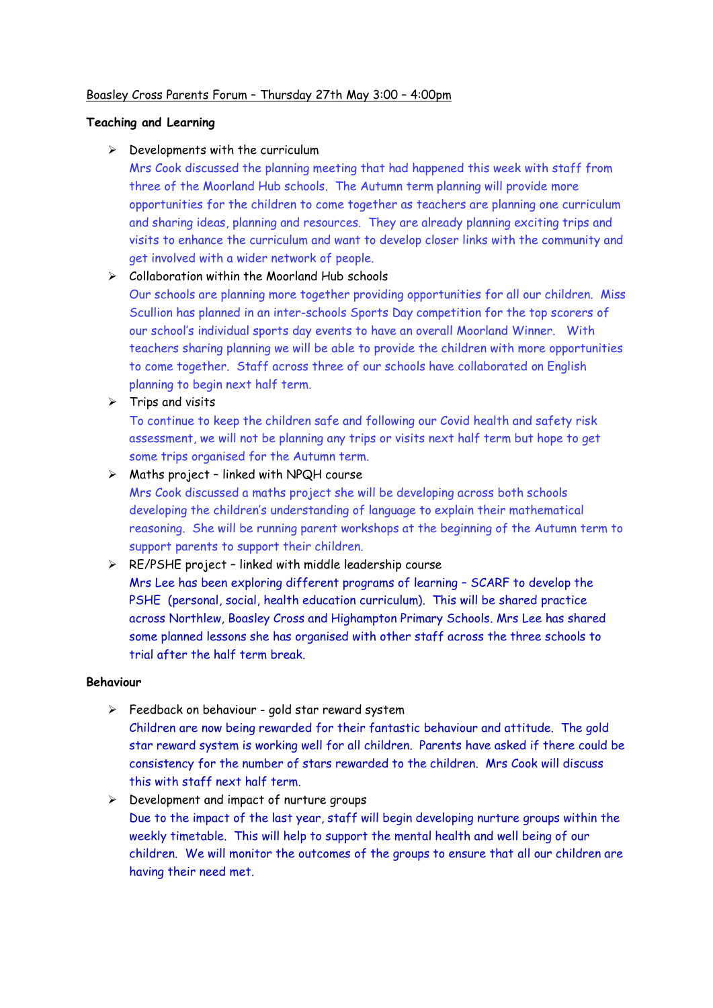### Boasley Cross Parents Forum – Thursday 27th May 3:00 – 4:00pm

### **Teaching and Learning**

 $\triangleright$  Developments with the curriculum

Mrs Cook discussed the planning meeting that had happened this week with staff from three of the Moorland Hub schools. The Autumn term planning will provide more opportunities for the children to come together as teachers are planning one curriculum and sharing ideas, planning and resources. They are already planning exciting trips and visits to enhance the curriculum and want to develop closer links with the community and get involved with a wider network of people.

# ➢ Collaboration within the Moorland Hub schools

Our schools are planning more together providing opportunities for all our children. Miss Scullion has planned in an inter-schools Sports Day competition for the top scorers of our school's individual sports day events to have an overall Moorland Winner. With teachers sharing planning we will be able to provide the children with more opportunities to come together. Staff across three of our schools have collaborated on English planning to begin next half term.

➢ Trips and visits

To continue to keep the children safe and following our Covid health and safety risk assessment, we will not be planning any trips or visits next half term but hope to get some trips organised for the Autumn term.

### $\triangleright$  Maths project - linked with NPQH course

Mrs Cook discussed a maths project she will be developing across both schools developing the children's understanding of language to explain their mathematical reasoning. She will be running parent workshops at the beginning of the Autumn term to support parents to support their children.

# ➢ RE/PSHE project – linked with middle leadership course

Mrs Lee has been exploring different programs of learning – SCARF to develop the PSHE (personal, social, health education curriculum). This will be shared practice across Northlew, Boasley Cross and Highampton Primary Schools. Mrs Lee has shared some planned lessons she has organised with other staff across the three schools to trial after the half term break.

#### **Behaviour**

- ➢ Feedback on behaviour gold star reward system Children are now being rewarded for their fantastic behaviour and attitude. The gold star reward system is working well for all children. Parents have asked if there could be consistency for the number of stars rewarded to the children. Mrs Cook will discuss this with staff next half term.
- ➢ Development and impact of nurture groups Due to the impact of the last year, staff will begin developing nurture groups within the weekly timetable. This will help to support the mental health and well being of our children. We will monitor the outcomes of the groups to ensure that all our children are having their need met.